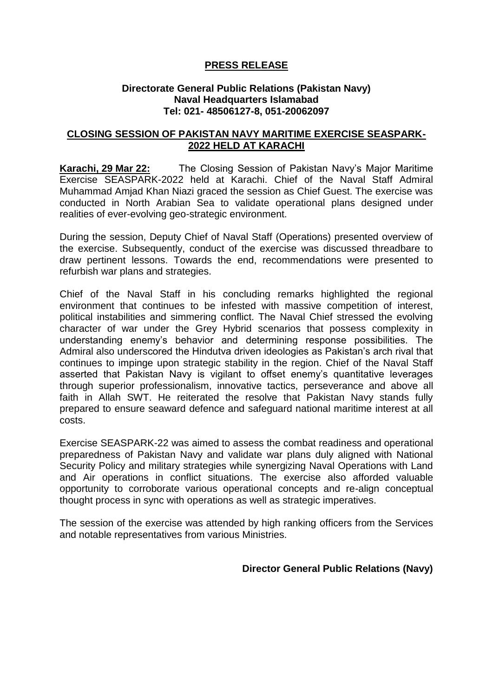## **PRESS RELEASE**

## **Directorate General Public Relations (Pakistan Navy) Naval Headquarters Islamabad Tel: 021- 48506127-8, 051-20062097**

## **CLOSING SESSION OF PAKISTAN NAVY MARITIME EXERCISE SEASPARK-2022 HELD AT KARACHI**

**Karachi, 29 Mar 22:** The Closing Session of Pakistan Navy's Major Maritime Exercise SEASPARK-2022 held at Karachi. Chief of the Naval Staff Admiral Muhammad Amjad Khan Niazi graced the session as Chief Guest. The exercise was conducted in North Arabian Sea to validate operational plans designed under realities of ever-evolving geo-strategic environment.

During the session, Deputy Chief of Naval Staff (Operations) presented overview of the exercise. Subsequently, conduct of the exercise was discussed threadbare to draw pertinent lessons. Towards the end, recommendations were presented to refurbish war plans and strategies.

Chief of the Naval Staff in his concluding remarks highlighted the regional environment that continues to be infested with massive competition of interest, political instabilities and simmering conflict. The Naval Chief stressed the evolving character of war under the Grey Hybrid scenarios that possess complexity in understanding enemy's behavior and determining response possibilities. The Admiral also underscored the Hindutva driven ideologies as Pakistan's arch rival that continues to impinge upon strategic stability in the region. Chief of the Naval Staff asserted that Pakistan Navy is vigilant to offset enemy's quantitative leverages through superior professionalism, innovative tactics, perseverance and above all faith in Allah SWT. He reiterated the resolve that Pakistan Navy stands fully prepared to ensure seaward defence and safeguard national maritime interest at all costs.

Exercise SEASPARK-22 was aimed to assess the combat readiness and operational preparedness of Pakistan Navy and validate war plans duly aligned with National Security Policy and military strategies while synergizing Naval Operations with Land and Air operations in conflict situations. The exercise also afforded valuable opportunity to corroborate various operational concepts and re-align conceptual thought process in sync with operations as well as strategic imperatives.

The session of the exercise was attended by high ranking officers from the Services and notable representatives from various Ministries.

## **Director General Public Relations (Navy)**